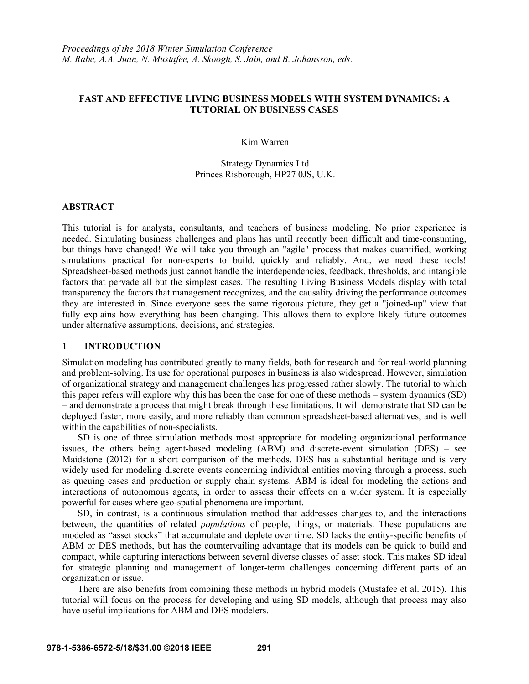# **FAST AND EFFECTIVE LIVING BUSINESS MODELS WITH SYSTEM DYNAMICS: A TUTORIAL ON BUSINESS CASES**

Kim Warren

Strategy Dynamics Ltd Princes Risborough, HP27 0JS, U.K.

### **ABSTRACT**

This tutorial is for analysts, consultants, and teachers of business modeling. No prior experience is needed. Simulating business challenges and plans has until recently been difficult and time-consuming, but things have changed! We will take you through an "agile" process that makes quantified, working simulations practical for non-experts to build, quickly and reliably. And, we need these tools! Spreadsheet-based methods just cannot handle the interdependencies, feedback, thresholds, and intangible factors that pervade all but the simplest cases. The resulting Living Business Models display with total transparency the factors that management recognizes, and the causality driving the performance outcomes they are interested in. Since everyone sees the same rigorous picture, they get a "joined-up" view that fully explains how everything has been changing. This allows them to explore likely future outcomes under alternative assumptions, decisions, and strategies.

## **1 INTRODUCTION**

Simulation modeling has contributed greatly to many fields, both for research and for real-world planning and problem-solving. Its use for operational purposes in business is also widespread. However, simulation of organizational strategy and management challenges has progressed rather slowly. The tutorial to which this paper refers will explore why this has been the case for one of these methods – system dynamics (SD) – and demonstrate a process that might break through these limitations. It will demonstrate that SD can be deployed faster, more easily, and more reliably than common spreadsheet-based alternatives, and is well within the capabilities of non-specialists.

SD is one of three simulation methods most appropriate for modeling organizational performance issues, the others being agent-based modeling (ABM) and discrete-event simulation (DES) – see Maidstone (2012) for a short comparison of the methods. DES has a substantial heritage and is very widely used for modeling discrete events concerning individual entities moving through a process, such as queuing cases and production or supply chain systems. ABM is ideal for modeling the actions and interactions of autonomous agents, in order to assess their effects on a wider system. It is especially powerful for cases where geo-spatial phenomena are important.

SD, in contrast, is a continuous simulation method that addresses changes to, and the interactions between, the quantities of related *populations* of people, things, or materials. These populations are modeled as "asset stocks" that accumulate and deplete over time. SD lacks the entity-specific benefits of ABM or DES methods, but has the countervailing advantage that its models can be quick to build and compact, while capturing interactions between several diverse classes of asset stock. This makes SD ideal for strategic planning and management of longer-term challenges concerning different parts of an organization or issue.

There are also benefits from combining these methods in hybrid models (Mustafee et al. 2015). This tutorial will focus on the process for developing and using SD models, although that process may also have useful implications for ABM and DES modelers.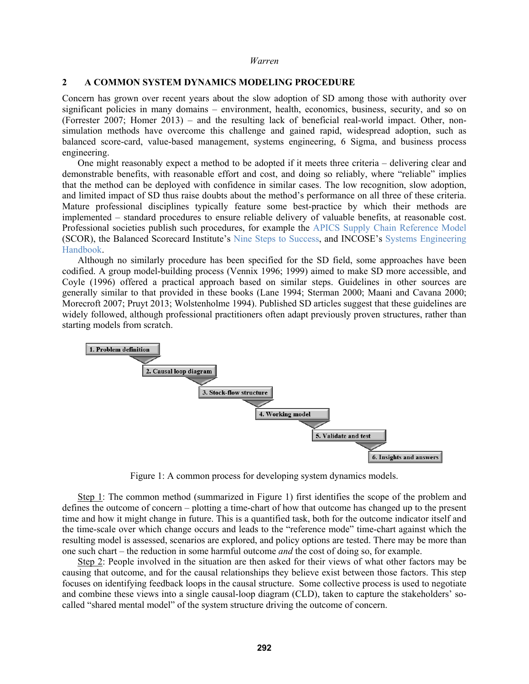#### **2 A COMMON SYSTEM DYNAMICS MODELING PROCEDURE**

Concern has grown over recent years about the slow adoption of SD among those with authority over significant policies in many domains – environment, health, economics, business, security, and so on (Forrester 2007; Homer 2013) – and the resulting lack of beneficial real-world impact. Other, nonsimulation methods have overcome this challenge and gained rapid, widespread adoption, such as balanced score-card, value-based management, systems engineering, 6 Sigma, and business process engineering.

One might reasonably expect a method to be adopted if it meets three criteria – delivering clear and demonstrable benefits, with reasonable effort and cost, and doing so reliably, where "reliable" implies that the method can be deployed with confidence in similar cases. The low recognition, slow adoption, and limited impact of SD thus raise doubts about the method's performance on all three of these criteria. Mature professional disciplines typically feature some best-practice by which their methods are implemented – standard procedures to ensure reliable delivery of valuable benefits, at reasonable cost. Professional societies publish such procedures, for example the APICS Supply Chain Reference Model (SCOR), the Balanced Scorecard Institute's Nine Steps to Success, and INCOSE's Systems Engineering Handbook.

Although no similarly procedure has been specified for the SD field, some approaches have been codified. A group model-building process (Vennix 1996; 1999) aimed to make SD more accessible, and Coyle (1996) offered a practical approach based on similar steps. Guidelines in other sources are generally similar to that provided in these books (Lane 1994; Sterman 2000; Maani and Cavana 2000; Morecroft 2007; Pruyt 2013; Wolstenholme 1994). Published SD articles suggest that these guidelines are widely followed, although professional practitioners often adapt previously proven structures, rather than starting models from scratch.



Figure 1: A common process for developing system dynamics models.

Step 1: The common method (summarized in Figure 1) first identifies the scope of the problem and defines the outcome of concern – plotting a time-chart of how that outcome has changed up to the present time and how it might change in future. This is a quantified task, both for the outcome indicator itself and the time-scale over which change occurs and leads to the "reference mode" time-chart against which the resulting model is assessed, scenarios are explored, and policy options are tested. There may be more than one such chart – the reduction in some harmful outcome *and* the cost of doing so, for example.

Step 2: People involved in the situation are then asked for their views of what other factors may be causing that outcome, and for the causal relationships they believe exist between those factors. This step focuses on identifying feedback loops in the causal structure. Some collective process is used to negotiate and combine these views into a single causal-loop diagram (CLD), taken to capture the stakeholders' socalled "shared mental model" of the system structure driving the outcome of concern.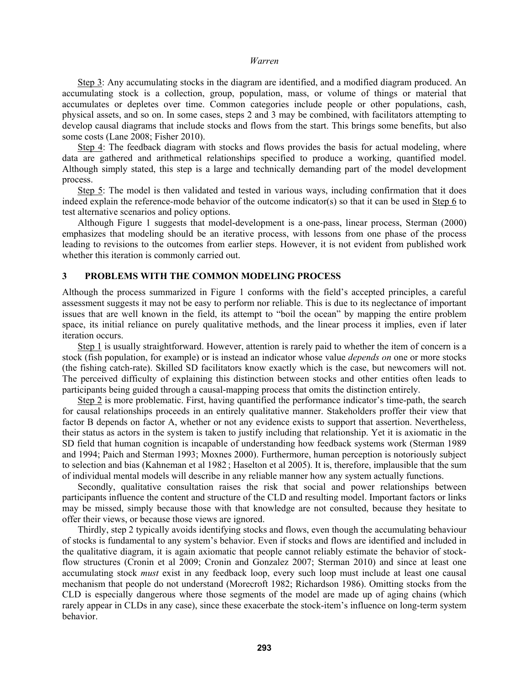Step 3: Any accumulating stocks in the diagram are identified, and a modified diagram produced. An accumulating stock is a collection, group, population, mass, or volume of things or material that accumulates or depletes over time. Common categories include people or other populations, cash, physical assets, and so on. In some cases, steps 2 and 3 may be combined, with facilitators attempting to develop causal diagrams that include stocks and flows from the start. This brings some benefits, but also some costs (Lane 2008; Fisher 2010).

Step 4: The feedback diagram with stocks and flows provides the basis for actual modeling, where data are gathered and arithmetical relationships specified to produce a working, quantified model. Although simply stated, this step is a large and technically demanding part of the model development process.

Step 5: The model is then validated and tested in various ways, including confirmation that it does indeed explain the reference-mode behavior of the outcome indicator(s) so that it can be used in Step 6 to test alternative scenarios and policy options.

Although Figure 1 suggests that model-development is a one-pass, linear process, Sterman (2000) emphasizes that modeling should be an iterative process, with lessons from one phase of the process leading to revisions to the outcomes from earlier steps. However, it is not evident from published work whether this iteration is commonly carried out.

### **3 PROBLEMS WITH THE COMMON MODELING PROCESS**

Although the process summarized in Figure 1 conforms with the field's accepted principles, a careful assessment suggests it may not be easy to perform nor reliable. This is due to its neglectance of important issues that are well known in the field, its attempt to "boil the ocean" by mapping the entire problem space, its initial reliance on purely qualitative methods, and the linear process it implies, even if later iteration occurs.

Step 1 is usually straightforward. However, attention is rarely paid to whether the item of concern is a stock (fish population, for example) or is instead an indicator whose value *depends on* one or more stocks (the fishing catch-rate). Skilled SD facilitators know exactly which is the case, but newcomers will not. The perceived difficulty of explaining this distinction between stocks and other entities often leads to participants being guided through a causal-mapping process that omits the distinction entirely.

Step 2 is more problematic. First, having quantified the performance indicator's time-path, the search for causal relationships proceeds in an entirely qualitative manner. Stakeholders proffer their view that factor B depends on factor A, whether or not any evidence exists to support that assertion. Nevertheless, their status as actors in the system is taken to justify including that relationship. Yet it is axiomatic in the SD field that human cognition is incapable of understanding how feedback systems work (Sterman 1989 and 1994; Paich and Sterman 1993; Moxnes 2000). Furthermore, human perception is notoriously subject to selection and bias (Kahneman et al 1982 ; Haselton et al 2005). It is, therefore, implausible that the sum of individual mental models will describe in any reliable manner how any system actually functions.

Secondly, qualitative consultation raises the risk that social and power relationships between participants influence the content and structure of the CLD and resulting model. Important factors or links may be missed, simply because those with that knowledge are not consulted, because they hesitate to offer their views, or because those views are ignored.

Thirdly, step 2 typically avoids identifying stocks and flows, even though the accumulating behaviour of stocks is fundamental to any system's behavior. Even if stocks and flows are identified and included in the qualitative diagram, it is again axiomatic that people cannot reliably estimate the behavior of stockflow structures (Cronin et al 2009; Cronin and Gonzalez 2007; Sterman 2010) and since at least one accumulating stock *must* exist in any feedback loop, every such loop must include at least one causal mechanism that people do not understand (Morecroft 1982; Richardson 1986). Omitting stocks from the CLD is especially dangerous where those segments of the model are made up of aging chains (which rarely appear in CLDs in any case), since these exacerbate the stock-item's influence on long-term system behavior.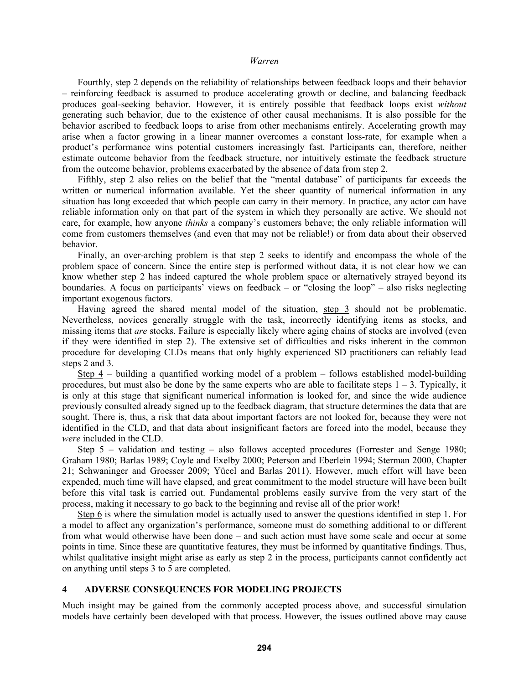Fourthly, step 2 depends on the reliability of relationships between feedback loops and their behavior – reinforcing feedback is assumed to produce accelerating growth or decline, and balancing feedback produces goal-seeking behavior. However, it is entirely possible that feedback loops exist *without* generating such behavior, due to the existence of other causal mechanisms. It is also possible for the behavior ascribed to feedback loops to arise from other mechanisms entirely. Accelerating growth may arise when a factor growing in a linear manner overcomes a constant loss-rate, for example when a product's performance wins potential customers increasingly fast. Participants can, therefore, neither estimate outcome behavior from the feedback structure, nor intuitively estimate the feedback structure from the outcome behavior, problems exacerbated by the absence of data from step 2.

Fifthly, step 2 also relies on the belief that the "mental database" of participants far exceeds the written or numerical information available. Yet the sheer quantity of numerical information in any situation has long exceeded that which people can carry in their memory. In practice, any actor can have reliable information only on that part of the system in which they personally are active. We should not care, for example, how anyone *thinks* a company's customers behave; the only reliable information will come from customers themselves (and even that may not be reliable!) or from data about their observed behavior.

Finally, an over-arching problem is that step 2 seeks to identify and encompass the whole of the problem space of concern. Since the entire step is performed without data, it is not clear how we can know whether step 2 has indeed captured the whole problem space or alternatively strayed beyond its boundaries. A focus on participants' views on feedback – or "closing the loop" – also risks neglecting important exogenous factors.

Having agreed the shared mental model of the situation, step 3 should not be problematic. Nevertheless, novices generally struggle with the task, incorrectly identifying items as stocks, and missing items that *are* stocks. Failure is especially likely where aging chains of stocks are involved (even if they were identified in step 2). The extensive set of difficulties and risks inherent in the common procedure for developing CLDs means that only highly experienced SD practitioners can reliably lead steps 2 and 3.

Step  $4$  – building a quantified working model of a problem – follows established model-building procedures, but must also be done by the same experts who are able to facilitate steps  $1 - 3$ . Typically, it is only at this stage that significant numerical information is looked for, and since the wide audience previously consulted already signed up to the feedback diagram, that structure determines the data that are sought. There is, thus, a risk that data about important factors are not looked for, because they were not identified in the CLD, and that data about insignificant factors are forced into the model, because they *were* included in the CLD.

Step  $5$  – validation and testing – also follows accepted procedures (Forrester and Senge 1980; Graham 1980; Barlas 1989; Coyle and Exelby 2000; Peterson and Eberlein 1994; Sterman 2000, Chapter 21; Schwaninger and Groesser 2009; Yücel and Barlas 2011). However, much effort will have been expended, much time will have elapsed, and great commitment to the model structure will have been built before this vital task is carried out. Fundamental problems easily survive from the very start of the process, making it necessary to go back to the beginning and revise all of the prior work!

Step 6 is where the simulation model is actually used to answer the questions identified in step 1. For a model to affect any organization's performance, someone must do something additional to or different from what would otherwise have been done – and such action must have some scale and occur at some points in time. Since these are quantitative features, they must be informed by quantitative findings. Thus, whilst qualitative insight might arise as early as step 2 in the process, participants cannot confidently act on anything until steps 3 to 5 are completed.

### **4 ADVERSE CONSEQUENCES FOR MODELING PROJECTS**

Much insight may be gained from the commonly accepted process above, and successful simulation models have certainly been developed with that process. However, the issues outlined above may cause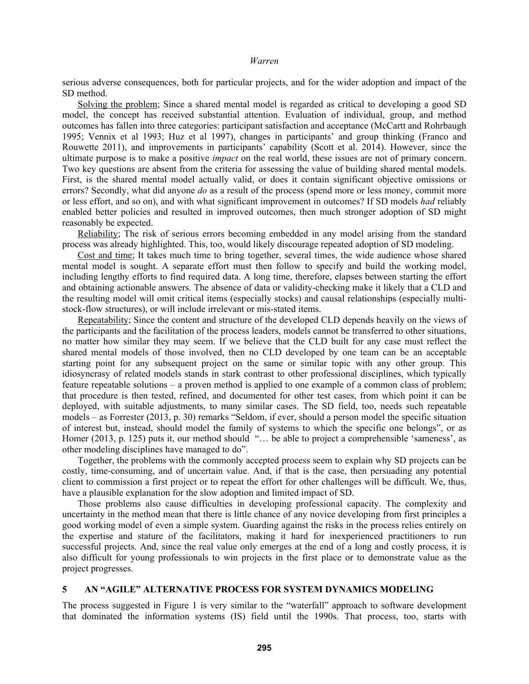serious adverse consequences, both for particular projects, and for the wider adoption and impact of the SD method.

Solving the problem; Since a shared mental model is regarded as critical to developing a good SD model, the concept has received substantial attention. Evaluation of individual, group, and method outcomes has fallen into three categories: participant satisfaction and acceptance (McCartt and Rohrbaugh 1995; Vennix et al 1993; Huz et al 1997), changes in participants' and group thinking (Franco and Rouwette 2011), and improvements in participants' capability (Scott et al. 2014). However, since the ultimate purpose is to make a positive *impact* on the real world, these issues are not of primary concern. Two key questions are absent from the criteria for assessing the value of building shared mental models. First, is the shared mental model actually valid, or does it contain significant objective omissions or errors? Secondly, what did anyone *do* as a result of the process (spend more or less money, commit more or less effort, and so on), and with what significant improvement in outcomes? If SD models *had* reliably enabled better policies and resulted in improved outcomes, then much stronger adoption of SD might reasonably be expected.

Reliability; The risk of serious errors becoming embedded in any model arising from the standard process was already highlighted. This, too, would likely discourage repeated adoption of SD modeling.

Cost and time; It takes much time to bring together, several times, the wide audience whose shared mental model is sought. A separate effort must then follow to specify and build the working model, including lengthy efforts to find required data. A long time, therefore, elapses between starting the effort and obtaining actionable answers. The absence of data or validity-checking make it likely that a CLD and the resulting model will omit critical items (especially stocks) and causal relationships (especially multistock-flow structures), or will include irrelevant or mis-stated items.

Repeatability; Since the content and structure of the developed CLD depends heavily on the views of the participants and the facilitation of the process leaders, models cannot be transferred to other situations, no matter how similar they may seem. If we believe that the CLD built for any case must reflect the shared mental models of those involved, then no CLD developed by one team can be an acceptable starting point for any subsequent project on the same or similar topic with any other group. This idiosyncrasy of related models stands in stark contrast to other professional disciplines, which typically feature repeatable solutions – a proven method is applied to one example of a common class of problem; that procedure is then tested, refined, and documented for other test cases, from which point it can be deployed, with suitable adjustments, to many similar cases. The SD field, too, needs such repeatable models – as Forrester (2013, p. 30) remarks "Seldom, if ever, should a person model the specific situation of interest but, instead, should model the family of systems to which the specific one belongs", or as Homer (2013, p. 125) puts it, our method should "… be able to project a comprehensible 'sameness', as other modeling disciplines have managed to do".

Together, the problems with the commonly accepted process seem to explain why SD projects can be costly, time-consuming, and of uncertain value. And, if that is the case, then persuading any potential client to commission a first project or to repeat the effort for other challenges will be difficult. We, thus, have a plausible explanation for the slow adoption and limited impact of SD.

Those problems also cause difficulties in developing professional capacity. The complexity and uncertainty in the method mean that there is little chance of any novice developing from first principles a good working model of even a simple system. Guarding against the risks in the process relies entirely on the expertise and stature of the facilitators, making it hard for inexperienced practitioners to run successful projects. And, since the real value only emerges at the end of a long and costly process, it is also difficult for young professionals to win projects in the first place or to demonstrate value as the project progresses.

### **5 AN "AGILE" ALTERNATIVE PROCESS FOR SYSTEM DYNAMICS MODELING**

The process suggested in Figure 1 is very similar to the "waterfall" approach to software development that dominated the information systems (IS) field until the 1990s. That process, too, starts with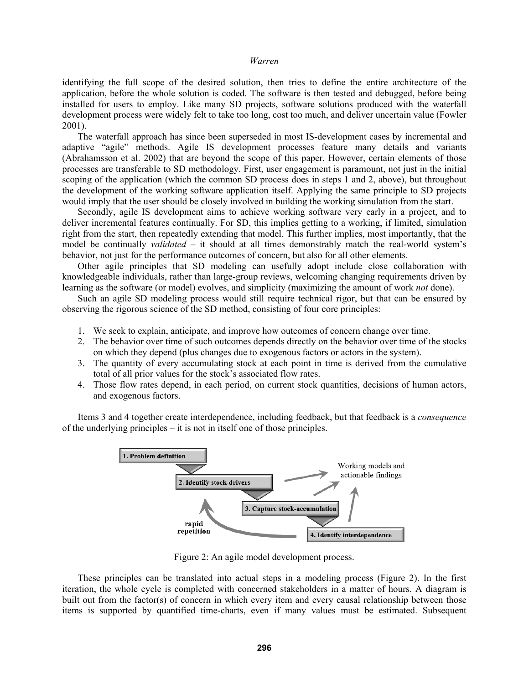identifying the full scope of the desired solution, then tries to define the entire architecture of the application, before the whole solution is coded. The software is then tested and debugged, before being installed for users to employ. Like many SD projects, software solutions produced with the waterfall development process were widely felt to take too long, cost too much, and deliver uncertain value (Fowler 2001).

The waterfall approach has since been superseded in most IS-development cases by incremental and adaptive "agile" methods. Agile IS development processes feature many details and variants (Abrahamsson et al. 2002) that are beyond the scope of this paper. However, certain elements of those processes are transferable to SD methodology. First, user engagement is paramount, not just in the initial scoping of the application (which the common SD process does in steps 1 and 2, above), but throughout the development of the working software application itself. Applying the same principle to SD projects would imply that the user should be closely involved in building the working simulation from the start.

Secondly, agile IS development aims to achieve working software very early in a project, and to deliver incremental features continually. For SD, this implies getting to a working, if limited, simulation right from the start, then repeatedly extending that model. This further implies, most importantly, that the model be continually *validated* – it should at all times demonstrably match the real-world system's behavior, not just for the performance outcomes of concern, but also for all other elements.

Other agile principles that SD modeling can usefully adopt include close collaboration with knowledgeable individuals, rather than large-group reviews, welcoming changing requirements driven by learning as the software (or model) evolves, and simplicity (maximizing the amount of work *not* done).

Such an agile SD modeling process would still require technical rigor, but that can be ensured by observing the rigorous science of the SD method, consisting of four core principles:

- 1. We seek to explain, anticipate, and improve how outcomes of concern change over time.
- 2. The behavior over time of such outcomes depends directly on the behavior over time of the stocks on which they depend (plus changes due to exogenous factors or actors in the system).
- 3. The quantity of every accumulating stock at each point in time is derived from the cumulative total of all prior values for the stock's associated flow rates.
- 4. Those flow rates depend, in each period, on current stock quantities, decisions of human actors, and exogenous factors.

Items 3 and 4 together create interdependence, including feedback, but that feedback is a *consequence* of the underlying principles – it is not in itself one of those principles.



Figure 2: An agile model development process.

These principles can be translated into actual steps in a modeling process (Figure 2). In the first iteration, the whole cycle is completed with concerned stakeholders in a matter of hours. A diagram is built out from the factor(s) of concern in which every item and every causal relationship between those items is supported by quantified time-charts, even if many values must be estimated. Subsequent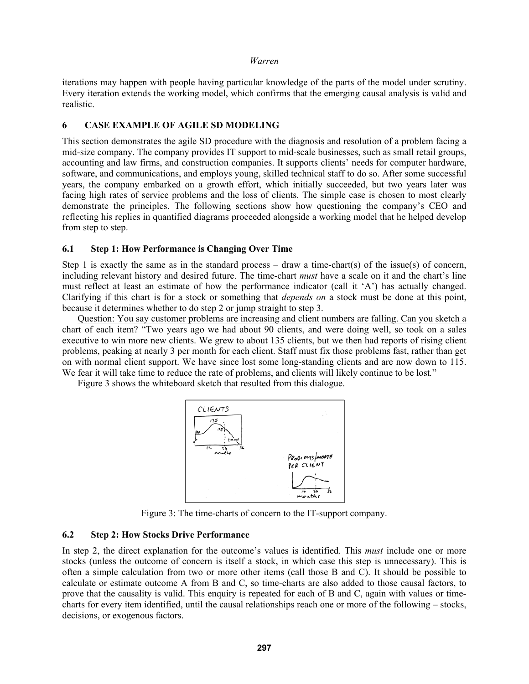iterations may happen with people having particular knowledge of the parts of the model under scrutiny. Every iteration extends the working model, which confirms that the emerging causal analysis is valid and realistic.

## **6 CASE EXAMPLE OF AGILE SD MODELING**

This section demonstrates the agile SD procedure with the diagnosis and resolution of a problem facing a mid-size company. The company provides IT support to mid-scale businesses, such as small retail groups, accounting and law firms, and construction companies. It supports clients' needs for computer hardware, software, and communications, and employs young, skilled technical staff to do so. After some successful years, the company embarked on a growth effort, which initially succeeded, but two years later was facing high rates of service problems and the loss of clients. The simple case is chosen to most clearly demonstrate the principles. The following sections show how questioning the company's CEO and reflecting his replies in quantified diagrams proceeded alongside a working model that he helped develop from step to step.

## **6.1 Step 1: How Performance is Changing Over Time**

Step 1 is exactly the same as in the standard process – draw a time-chart(s) of the issue(s) of concern, including relevant history and desired future. The time-chart *must* have a scale on it and the chart's line must reflect at least an estimate of how the performance indicator (call it 'A') has actually changed. Clarifying if this chart is for a stock or something that *depends on* a stock must be done at this point, because it determines whether to do step 2 or jump straight to step 3.

Question: You say customer problems are increasing and client numbers are falling. Can you sketch a chart of each item? "Two years ago we had about 90 clients, and were doing well, so took on a sales executive to win more new clients. We grew to about 135 clients, but we then had reports of rising client problems, peaking at nearly 3 per month for each client. Staff must fix those problems fast, rather than get on with normal client support. We have since lost some long-standing clients and are now down to 115. We fear it will take time to reduce the rate of problems, and clients will likely continue to be lost*.*"

Figure 3 shows the whiteboard sketch that resulted from this dialogue.



Figure 3: The time-charts of concern to the IT-support company.

# **6.2 Step 2: How Stocks Drive Performance**

In step 2, the direct explanation for the outcome's values is identified. This *must* include one or more stocks (unless the outcome of concern is itself a stock, in which case this step is unnecessary). This is often a simple calculation from two or more other items (call those B and C). It should be possible to calculate or estimate outcome A from B and C, so time-charts are also added to those causal factors, to prove that the causality is valid. This enquiry is repeated for each of B and C, again with values or timecharts for every item identified, until the causal relationships reach one or more of the following – stocks, decisions, or exogenous factors.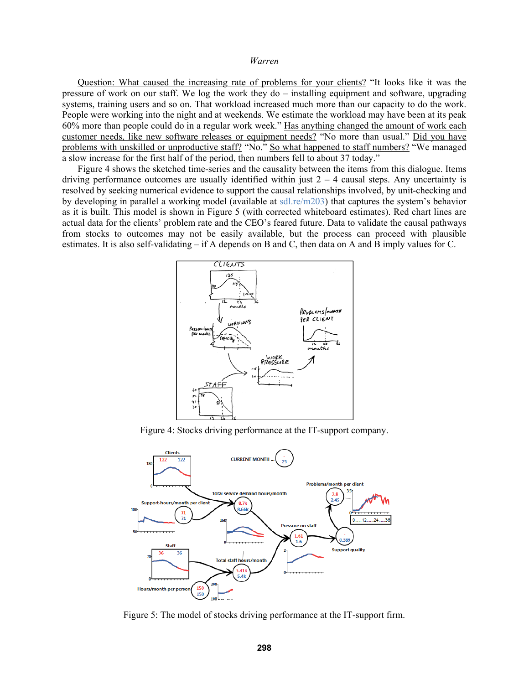Question: What caused the increasing rate of problems for your clients? "It looks like it was the pressure of work on our staff. We log the work they do – installing equipment and software, upgrading systems, training users and so on. That workload increased much more than our capacity to do the work. People were working into the night and at weekends. We estimate the workload may have been at its peak 60% more than people could do in a regular work week." Has anything changed the amount of work each customer needs, like new software releases or equipment needs? "No more than usual." Did you have problems with unskilled or unproductive staff? "No." So what happened to staff numbers? "We managed a slow increase for the first half of the period, then numbers fell to about 37 today."

Figure 4 shows the sketched time-series and the causality between the items from this dialogue. Items driving performance outcomes are usually identified within just  $2 - 4$  causal steps. Any uncertainty is resolved by seeking numerical evidence to support the causal relationships involved, by unit-checking and by developing in parallel a working model (available at sdl.re/m203) that captures the system's behavior as it is built. This model is shown in Figure 5 (with corrected whiteboard estimates). Red chart lines are actual data for the clients' problem rate and the CEO's feared future. Data to validate the causal pathways from stocks to outcomes may not be easily available, but the process can proceed with plausible estimates. It is also self-validating – if A depends on B and C, then data on A and B imply values for C.



Figure 4: Stocks driving performance at the IT-support company.



Figure 5: The model of stocks driving performance at the IT-support firm.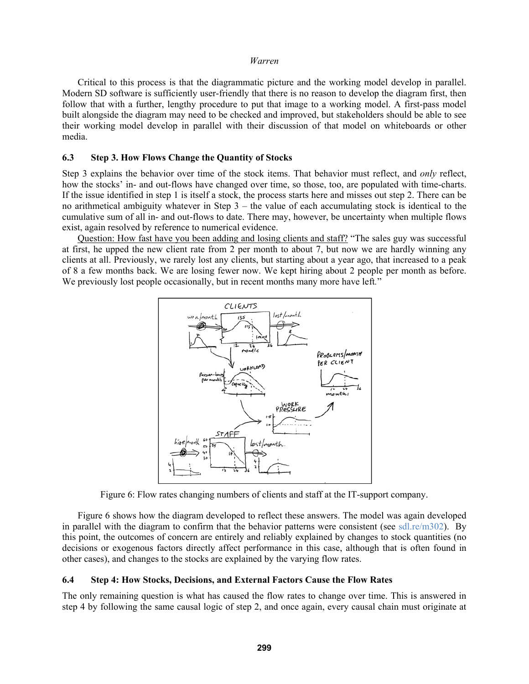Critical to this process is that the diagrammatic picture and the working model develop in parallel. Modern SD software is sufficiently user-friendly that there is no reason to develop the diagram first, then follow that with a further, lengthy procedure to put that image to a working model. A first-pass model built alongside the diagram may need to be checked and improved, but stakeholders should be able to see their working model develop in parallel with their discussion of that model on whiteboards or other media.

#### **6.3 Step 3. How Flows Change the Quantity of Stocks**

Step 3 explains the behavior over time of the stock items. That behavior must reflect, and *only* reflect, how the stocks' in- and out-flows have changed over time, so those, too, are populated with time-charts. If the issue identified in step 1 is itself a stock, the process starts here and misses out step 2. There can be no arithmetical ambiguity whatever in Step 3 – the value of each accumulating stock is identical to the cumulative sum of all in- and out-flows to date. There may, however, be uncertainty when multiple flows exist, again resolved by reference to numerical evidence.

Question: How fast have you been adding and losing clients and staff? "The sales guy was successful at first, he upped the new client rate from 2 per month to about 7, but now we are hardly winning any clients at all. Previously, we rarely lost any clients, but starting about a year ago, that increased to a peak of 8 a few months back. We are losing fewer now. We kept hiring about 2 people per month as before. We previously lost people occasionally, but in recent months many more have left*.*"



Figure 6: Flow rates changing numbers of clients and staff at the IT-support company.

Figure 6 shows how the diagram developed to reflect these answers. The model was again developed in parallel with the diagram to confirm that the behavior patterns were consistent (see sdl.re/m302). By this point, the outcomes of concern are entirely and reliably explained by changes to stock quantities (no decisions or exogenous factors directly affect performance in this case, although that is often found in other cases), and changes to the stocks are explained by the varying flow rates.

#### **6.4 Step 4: How Stocks, Decisions, and External Factors Cause the Flow Rates**

The only remaining question is what has caused the flow rates to change over time. This is answered in step 4 by following the same causal logic of step 2, and once again, every causal chain must originate at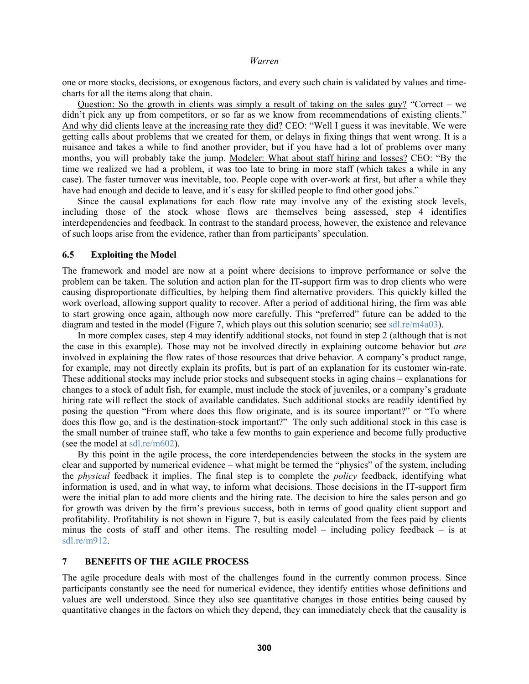one or more stocks, decisions, or exogenous factors, and every such chain is validated by values and timecharts for all the items along that chain.

Question: So the growth in clients was simply a result of taking on the sales guy? "Correct – we didn't pick any up from competitors, or so far as we know from recommendations of existing clients." And why did clients leave at the increasing rate they did? CEO: "Well I guess it was inevitable. We were getting calls about problems that we created for them, or delays in fixing things that went wrong. It is a nuisance and takes a while to find another provider, but if you have had a lot of problems over many months, you will probably take the jump. Modeler: What about staff hiring and losses? CEO: "By the time we realized we had a problem, it was too late to bring in more staff (which takes a while in any case). The faster turnover was inevitable, too. People cope with over-work at first, but after a while they have had enough and decide to leave, and it's easy for skilled people to find other good jobs."

Since the causal explanations for each flow rate may involve any of the existing stock levels, including those of the stock whose flows are themselves being assessed, step 4 identifies interdependencies and feedback. In contrast to the standard process, however, the existence and relevance of such loops arise from the evidence, rather than from participants' speculation.

#### **6.5 Exploiting the Model**

The framework and model are now at a point where decisions to improve performance or solve the problem can be taken. The solution and action plan for the IT-support firm was to drop clients who were causing disproportionate difficulties, by helping them find alternative providers. This quickly killed the work overload, allowing support quality to recover. After a period of additional hiring, the firm was able to start growing once again, although now more carefully. This "preferred" future can be added to the diagram and tested in the model (Figure 7, which plays out this solution scenario; see sdl.re/m4a03).

In more complex cases, step 4 may identify additional stocks, not found in step 2 (although that is not the case in this example). Those may not be involved directly in explaining outcome behavior but *are* involved in explaining the flow rates of those resources that drive behavior. A company's product range, for example, may not directly explain its profits, but is part of an explanation for its customer win-rate. These additional stocks may include prior stocks and subsequent stocks in aging chains – explanations for changes to a stock of adult fish, for example, must include the stock of juveniles, or a company's graduate hiring rate will reflect the stock of available candidates. Such additional stocks are readily identified by posing the question "From where does this flow originate, and is its source important?" or "To where does this flow go, and is the destination-stock important?" The only such additional stock in this case is the small number of trainee staff, who take a few months to gain experience and become fully productive (see the model at sdl.re/m602).

By this point in the agile process, the core interdependencies between the stocks in the system are clear and supported by numerical evidence – what might be termed the "physics" of the system, including the *physical* feedback it implies. The final step is to complete the *policy* feedback, identifying what information is used, and in what way, to inform what decisions. Those decisions in the IT-support firm were the initial plan to add more clients and the hiring rate. The decision to hire the sales person and go for growth was driven by the firm's previous success, both in terms of good quality client support and profitability. Profitability is not shown in Figure 7, but is easily calculated from the fees paid by clients minus the costs of staff and other items. The resulting model – including policy feedback – is at sdl.re/m912.

## **7 BENEFITS OF THE AGILE PROCESS**

The agile procedure deals with most of the challenges found in the currently common process. Since participants constantly see the need for numerical evidence, they identify entities whose definitions and values are well understood. Since they also see quantitative changes in those entities being caused by quantitative changes in the factors on which they depend, they can immediately check that the causality is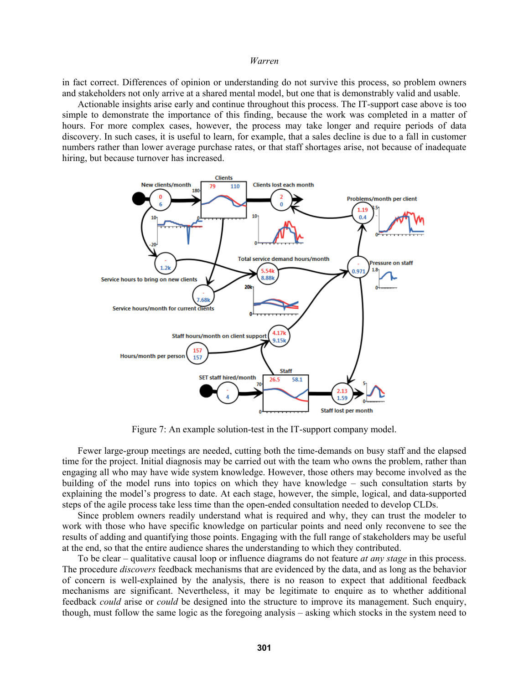in fact correct. Differences of opinion or understanding do not survive this process, so problem owners and stakeholders not only arrive at a shared mental model, but one that is demonstrably valid and usable.

Actionable insights arise early and continue throughout this process. The IT-support case above is too simple to demonstrate the importance of this finding, because the work was completed in a matter of hours. For more complex cases, however, the process may take longer and require periods of data discovery. In such cases, it is useful to learn, for example, that a sales decline is due to a fall in customer numbers rather than lower average purchase rates, or that staff shortages arise, not because of inadequate hiring, but because turnover has increased.



Figure 7: An example solution-test in the IT-support company model.

Fewer large-group meetings are needed, cutting both the time-demands on busy staff and the elapsed time for the project. Initial diagnosis may be carried out with the team who owns the problem, rather than engaging all who may have wide system knowledge. However, those others may become involved as the building of the model runs into topics on which they have knowledge – such consultation starts by explaining the model's progress to date. At each stage, however, the simple, logical, and data-supported steps of the agile process take less time than the open-ended consultation needed to develop CLDs.

Since problem owners readily understand what is required and why, they can trust the modeler to work with those who have specific knowledge on particular points and need only reconvene to see the results of adding and quantifying those points. Engaging with the full range of stakeholders may be useful at the end, so that the entire audience shares the understanding to which they contributed.

To be clear – qualitative causal loop or influence diagrams do not feature *at any stage* in this process. The procedure *discovers* feedback mechanisms that are evidenced by the data, and as long as the behavior of concern is well-explained by the analysis, there is no reason to expect that additional feedback mechanisms are significant. Nevertheless, it may be legitimate to enquire as to whether additional feedback *could* arise or *could* be designed into the structure to improve its management. Such enquiry, though, must follow the same logic as the foregoing analysis – asking which stocks in the system need to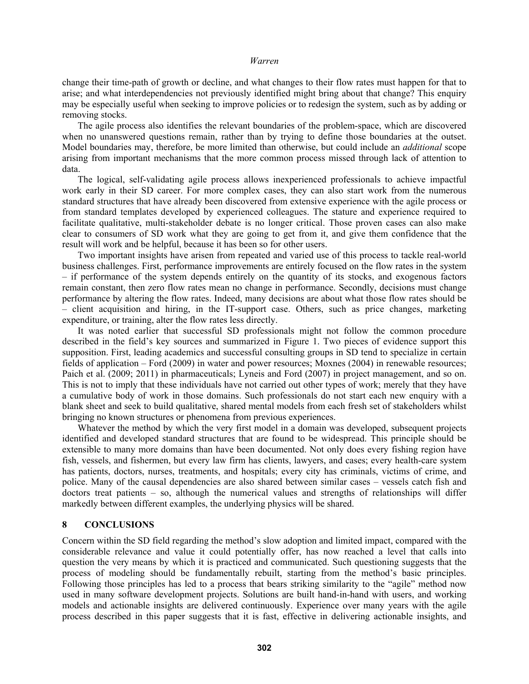change their time-path of growth or decline, and what changes to their flow rates must happen for that to arise; and what interdependencies not previously identified might bring about that change? This enquiry may be especially useful when seeking to improve policies or to redesign the system, such as by adding or removing stocks.

The agile process also identifies the relevant boundaries of the problem-space, which are discovered when no unanswered questions remain, rather than by trying to define those boundaries at the outset. Model boundaries may, therefore, be more limited than otherwise, but could include an *additional* scope arising from important mechanisms that the more common process missed through lack of attention to data.

The logical, self-validating agile process allows inexperienced professionals to achieve impactful work early in their SD career. For more complex cases, they can also start work from the numerous standard structures that have already been discovered from extensive experience with the agile process or from standard templates developed by experienced colleagues. The stature and experience required to facilitate qualitative, multi-stakeholder debate is no longer critical. Those proven cases can also make clear to consumers of SD work what they are going to get from it, and give them confidence that the result will work and be helpful, because it has been so for other users.

Two important insights have arisen from repeated and varied use of this process to tackle real-world business challenges. First, performance improvements are entirely focused on the flow rates in the system – if performance of the system depends entirely on the quantity of its stocks, and exogenous factors remain constant, then zero flow rates mean no change in performance. Secondly, decisions must change performance by altering the flow rates. Indeed, many decisions are about what those flow rates should be – client acquisition and hiring, in the IT-support case. Others, such as price changes, marketing expenditure, or training, alter the flow rates less directly.

It was noted earlier that successful SD professionals might not follow the common procedure described in the field's key sources and summarized in Figure 1. Two pieces of evidence support this supposition. First, leading academics and successful consulting groups in SD tend to specialize in certain fields of application – Ford (2009) in water and power resources; Moxnes (2004) in renewable resources; Paich et al. (2009; 2011) in pharmaceuticals; Lyneis and Ford (2007) in project management, and so on. This is not to imply that these individuals have not carried out other types of work; merely that they have a cumulative body of work in those domains. Such professionals do not start each new enquiry with a blank sheet and seek to build qualitative, shared mental models from each fresh set of stakeholders whilst bringing no known structures or phenomena from previous experiences.

Whatever the method by which the very first model in a domain was developed, subsequent projects identified and developed standard structures that are found to be widespread. This principle should be extensible to many more domains than have been documented. Not only does every fishing region have fish, vessels, and fishermen, but every law firm has clients, lawyers, and cases; every health-care system has patients, doctors, nurses, treatments, and hospitals; every city has criminals, victims of crime, and police. Many of the causal dependencies are also shared between similar cases – vessels catch fish and doctors treat patients – so, although the numerical values and strengths of relationships will differ markedly between different examples, the underlying physics will be shared.

### **8 CONCLUSIONS**

Concern within the SD field regarding the method's slow adoption and limited impact, compared with the considerable relevance and value it could potentially offer, has now reached a level that calls into question the very means by which it is practiced and communicated. Such questioning suggests that the process of modeling should be fundamentally rebuilt, starting from the method's basic principles. Following those principles has led to a process that bears striking similarity to the "agile" method now used in many software development projects. Solutions are built hand-in-hand with users, and working models and actionable insights are delivered continuously. Experience over many years with the agile process described in this paper suggests that it is fast, effective in delivering actionable insights, and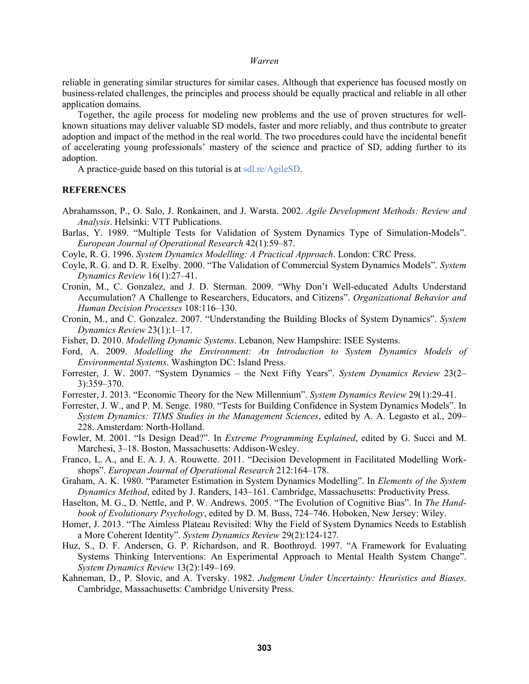reliable in generating similar structures for similar cases. Although that experience has focused mostly on business-related challenges, the principles and process should be equally practical and reliable in all other application domains.

Together, the agile process for modeling new problems and the use of proven structures for wellknown situations may deliver valuable SD models, faster and more reliably, and thus contribute to greater adoption and impact of the method in the real world. The two procedures could have the incidental benefit of accelerating young professionals' mastery of the science and practice of SD, adding further to its adoption.

A practice-guide based on this tutorial is at sdl.re/AgileSD.

# **REFERENCES**

- Abrahamsson, P., O. Salo, J. Ronkainen, and J. Warsta. 2002. *Agile Development Methods: Review and Analysis*. Helsinki: VTT Publications.
- Barlas, Y. 1989. "Multiple Tests for Validation of System Dynamics Type of Simulation-Models". *European Journal of Operational Research* 42(1):59–87.
- Coyle, R. G. 1996. *System Dynamics Modelling: A Practical Approach*. London: CRC Press.
- Coyle, R. G. and D. R. Exelby. 2000. "The Validation of Commercial System Dynamics Models". *System Dynamics Review* 16(1):27–41.
- Cronin, M., C. Gonzalez, and J. D. Sterman. 2009. "Why Don't Well-educated Adults Understand Accumulation? A Challenge to Researchers, Educators, and Citizens". *Organizational Behavior and Human Decision Processes* 108:116–130.
- Cronin, M., and C. Gonzalez. 2007. "Understanding the Building Blocks of System Dynamics". *System Dynamics Review* 23(1):1–17.
- Fisher, D. 2010. *Modelling Dynamic Systems*. Lebanon, New Hampshire: ISEE Systems.
- Ford, A. 2009. *Modelling the Environment: An Introduction to System Dynamics Models of Environmental Systems*. Washington DC: Island Press.
- Forrester, J. W. 2007. "System Dynamics the Next Fifty Years". *System Dynamics Review* 23(2– 3):359–370.
- Forrester, J. 2013. "Economic Theory for the New Millennium". *System Dynamics Review* 29(1):29-41.
- Forrester, J. W., and P. M. Senge. 1980. "Tests for Building Confidence in System Dynamics Models". In *System Dynamics: TIMS Studies in the Management Sciences*, edited by A. A. Legasto et al., 209– 228. Amsterdam: North-Holland.
- Fowler, M. 2001. "Is Design Dead?". In *Extreme Programming Explained*, edited by G. Succi and M. Marchesi, 3–18. Boston, Massachusetts: Addison-Wesley.
- Franco, L. A., and E. A. J. A. Rouwette. 2011. "Decision Development in Facilitated Modelling Workshops". *European Journal of Operational Research* 212:164–178.
- Graham, A. K. 1980. "Parameter Estimation in System Dynamics Modelling". In *Elements of the System Dynamics Method*, edited by J. Randers, 143–161. Cambridge, Massachusetts: Productivity Press.
- Haselton, M. G., D. Nettle, and P. W. Andrews. 2005. "The Evolution of Cognitive Bias". In *The Handbook of Evolutionary Psychology*, edited by D. M. Buss, 724–746. Hoboken, New Jersey: Wiley.
- Homer, J. 2013. "The Aimless Plateau Revisited: Why the Field of System Dynamics Needs to Establish a More Coherent Identity". *System Dynamics Review* 29(2):124-127.
- Huz, S., D. F. Andersen, G. P. Richardson, and R. Boothroyd. 1997. "A Framework for Evaluating Systems Thinking Interventions: An Experimental Approach to Mental Health System Change". *System Dynamics Review* 13(2):149–169.
- Kahneman, D., P. Slovic, and A. Tversky. 1982. *Judgment Under Uncertainty: Heuristics and Biases*. Cambridge, Massachusetts: Cambridge University Press.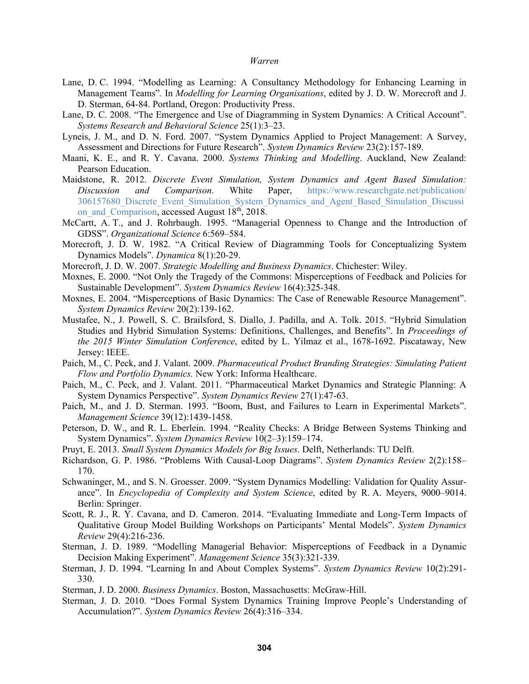- Lane, D. C. 1994. "Modelling as Learning: A Consultancy Methodology for Enhancing Learning in Management Teams"*.* In *Modelling for Learning Organisations*, edited by J. D. W. Morecroft and J. D. Sterman, 64-84. Portland, Oregon: Productivity Press.
- Lane, D. C. 2008. "The Emergence and Use of Diagramming in System Dynamics: A Critical Account". *Systems Research and Behavioral Science* 25(1):3–23.
- Lyneis, J. M., and D. N. Ford. 2007. "System Dynamics Applied to Project Management: A Survey, Assessment and Directions for Future Research". *System Dynamics Review* 23(2):157-189.
- Maani, K. E., and R. Y. Cavana. 2000. *Systems Thinking and Modelling*. Auckland, New Zealand: Pearson Education.
- Maidstone, R. 2012. *Discrete Event Simulation, System Dynamics and Agent Based Simulation: Discussion and Comparison*. White Paper, https://www.researchgate.net/publication/ 306157680\_Discrete\_Event\_Simulation\_System\_Dynamics\_and\_Agent\_Based\_Simulation\_Discussi on and Comparison, accessed August 18<sup>th</sup>, 2018.
- McCartt, A. T., and J. Rohrbaugh. 1995. "Managerial Openness to Change and the Introduction of GDSS". *Organizational Science* 6:569–584.
- Morecroft, J. D. W. 1982. "A Critical Review of Diagramming Tools for Conceptualizing System Dynamics Models". *Dynamica* 8(1):20-29.
- Morecroft, J. D. W. 2007. *Strategic Modelling and Business Dynamics*. Chichester: Wiley.
- Moxnes, E. 2000. "Not Only the Tragedy of the Commons: Misperceptions of Feedback and Policies for Sustainable Development". *System Dynamics Review* 16(4):325-348.
- Moxnes, E. 2004. "Misperceptions of Basic Dynamics: The Case of Renewable Resource Management". *System Dynamics Review* 20(2):139-162.
- Mustafee, N., J. Powell, S. C. Brailsford, S. Diallo, J. Padilla, and A. Tolk. 2015. "Hybrid Simulation Studies and Hybrid Simulation Systems: Definitions, Challenges, and Benefits". In *Proceedings of the 2015 Winter Simulation Conference*, edited by L. Yilmaz et al., 1678-1692. Piscataway, New Jersey: IEEE.
- Paich, M., C. Peck, and J. Valant. 2009. *Pharmaceutical Product Branding Strategies: Simulating Patient Flow and Portfolio Dynamics.* New York: Informa Healthcare.
- Paich, M., C. Peck, and J. Valant. 2011. "Pharmaceutical Market Dynamics and Strategic Planning: A System Dynamics Perspective". *System Dynamics Review* 27(1):47-63.
- Paich, M., and J. D. Sterman. 1993. "Boom, Bust, and Failures to Learn in Experimental Markets". *Management Science* 39(12):1439-1458.
- Peterson, D. W., and R. L. Eberlein. 1994. "Reality Checks: A Bridge Between Systems Thinking and System Dynamics". *System Dynamics Review* 10(2–3):159–174.
- Pruyt, E. 2013. *Small System Dynamics Models for Big Issues*. Delft, Netherlands: TU Delft.
- Richardson, G. P. 1986. "Problems With Causal-Loop Diagrams". *System Dynamics Review* 2(2):158– 170.
- Schwaninger, M., and S. N. Groesser. 2009. "System Dynamics Modelling: Validation for Quality Assurance". In *Encyclopedia of Complexity and System Science*, edited by R. A. Meyers, 9000–9014. Berlin: Springer.
- Scott, R. J., R. Y. Cavana, and D. Cameron. 2014. "Evaluating Immediate and Long-Term Impacts of Qualitative Group Model Building Workshops on Participants' Mental Models". *System Dynamics Review* 29(4):216-236.
- Sterman, J. D. 1989. "Modelling Managerial Behavior: Misperceptions of Feedback in a Dynamic Decision Making Experiment". *Management Science* 35(3):321-339.
- Sterman, J. D. 1994. "Learning In and About Complex Systems". *System Dynamics Review* 10(2):291- 330.
- Sterman, J. D. 2000. *Business Dynamics*. Boston, Massachusetts: McGraw-Hill.
- Sterman, J. D. 2010. "Does Formal System Dynamics Training Improve People's Understanding of Accumulation?". *System Dynamics Review* 26(4):316–334.